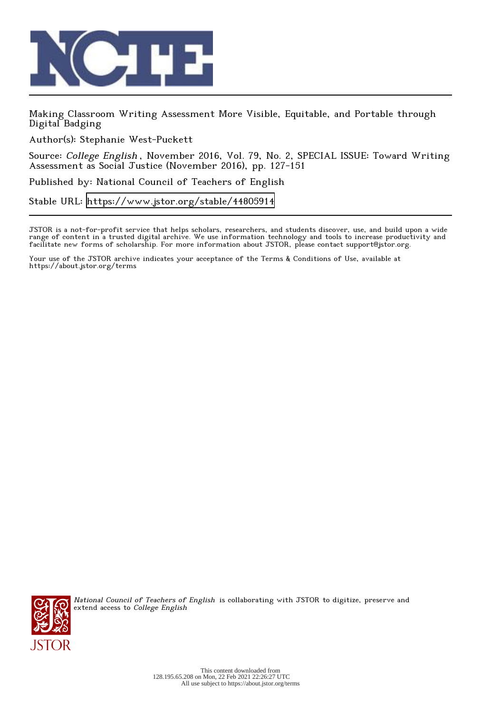

Making Classroom Writing Assessment More Visible, Equitable, and Portable through Digital Badging

Author(s): Stephanie West-Puckett

Source: College English , November 2016, Vol. 79, No. 2, SPECIAL ISSUE: Toward Writing Assessment as Social Justice (November 2016), pp. 127-151

Published by: National Council of Teachers of English

Stable URL:<https://www.jstor.org/stable/44805914>

JSTOR is a not-for-profit service that helps scholars, researchers, and students discover, use, and build upon a wide range of content in a trusted digital archive. We use information technology and tools to increase productivity and facilitate new forms of scholarship. For more information about JSTOR, please contact support@jstor.org.

Your use of the JSTOR archive indicates your acceptance of the Terms & Conditions of Use, available at https://about.jstor.org/terms



National Council of Teachers of English is collaborating with JSTOR to digitize, preserve and extend access to College English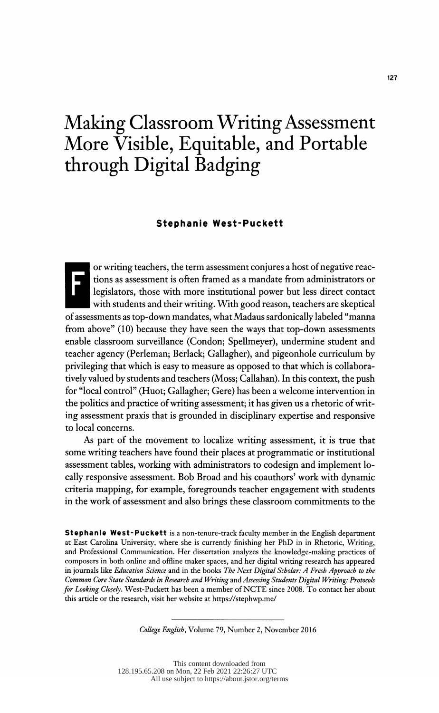# Making Classroom Writing Assessment More Visible, Equitable, and Portable through Digital Badging

#### Stephanie West-Puckett

 or writing teachers, the term assessment conjures a host of negative reac legislators, those with more institutional power but less direct contact with students and their writing. With good reason, teachers are skeptical of assessments as top-down mandates, what Madaus sardonically labeled "manna from above" (10) because they have seen the ways that top-down assessments enable classroom surveillance (Condon; Spellmeyer), undermine student and teacher agency (Perleman; Berlack; Gallagher), and pigeonhole curriculum by privileging that which is easy to measure as opposed to that which is collabora tively valued by students and teachers (Moss; Callahan). In this context, the push for "local control" (Huot; Gallagher; Gere) has been a welcome intervention in the politics and practice of writing assessment; it has given us a rhetoric of writ ing assessment praxis that is grounded in disciplinary expertise and responsive to local concerns.

 As part of the movement to localize writing assessment, it is true that some writing teachers have found their places at programmatic or institutional assessment tables, working with administrators to codesign and implement lo cally responsive assessment. Bob Broad and his coauthors' work with dynamic criteria mapping, for example, foregrounds teacher engagement with students in the work of assessment and also brings these classroom commitments to the

Stephanie West-Puckett is a non-tenure-track faculty member in the English department at East Carolina University, where she is currently finishing her PhD in in Rhetoric, Writing, and Professional Communication. Her dissertation analyzes the knowledge-making practices of composers in both online and offline maker spaces, and her digital writing research has appeared in journals like Education Science and in the books The Next Digital Scholar: A Fresh Approach to the Common Core State Standards in Research and Writing and Assessing Students Digital Writing: Protocols for Looking Closely. West-Puckett has been a member of NCTE since 2008. To contact her about this article or the research, visit her website at https://stephwp.me/

College English, Volume 79, Number 2, November 2016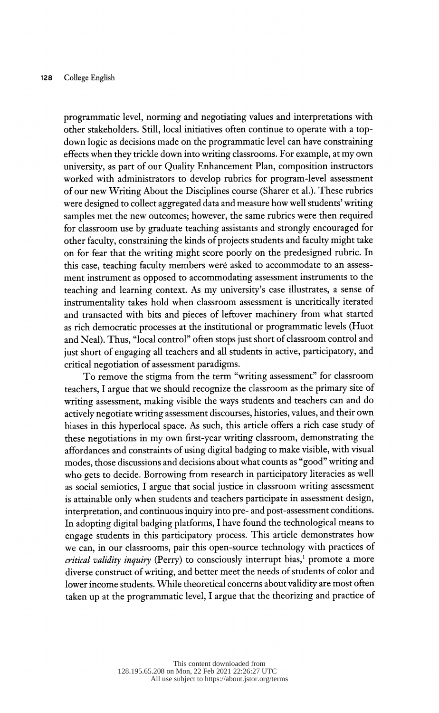programmatic level, norming and negotiating values and interpretations with other stakeholders. Still, local initiatives often continue to operate with a top down logic as decisions made on the programmatic level can have constraining effects when they trickle down into writing classrooms. For example, at my own university, as part of our Quality Enhancement Plan, composition instructors worked with administrators to develop rubrics for program-level assessment of our new Writing About the Disciplines course (Sharer et al.). These rubrics were designed to collect aggregated data and measure how well students' writing samples met the new outcomes; however, the same rubrics were then required for classroom use by graduate teaching assistants and strongly encouraged for other faculty, constraining the kinds of projects students and faculty might take on for fear that the writing might score poorly on the predesigned rubric. In this case, teaching faculty members were asked to accommodate to an assess ment instrument as opposed to accommodating assessment instruments to the teaching and learning context. As my university's case illustrates, a sense of instrumentality takes hold when classroom assessment is uncritically iterated and transacted with bits and pieces of leftover machinery from what started as rich democratic processes at the institutional or programmatic levels (Huot and Neal). Thus, "local control" often stops just short of classroom control and just short of engaging all teachers and all students in active, participatory, and critical negotiation of assessment paradigms.

 To remove the stigma from the term "writing assessment" for classroom teachers, I argue that we should recognize the classroom as the primary site of writing assessment, making visible the ways students and teachers can and do actively negotiate writing assessment discourses, histories, values, and their own biases in this hyperlocal space. As such, this article offers a rich case study of these negotiations in my own first-year writing classroom, demonstrating the affordances and constraints of using digital badging to make visible, with visual modes, those discussions and decisions about what counts as "good" writing and who gets to decide. Borrowing from research in participatory literacies as well as social semiotics, I argue that social justice in classroom writing assessment is attainable only when students and teachers participate in assessment design, interpretation, and continuous inquiry into pre- and post-assessment conditions. In adopting digital badging platforms, I have found the technological means to engage students in this participatory process. This article demonstrates how we can, in our classrooms, pair this open-source technology with practices of *critical validity inquiry* (Perry) to consciously interrupt bias,<sup>1</sup> promote a more diverse construct of writing, and better meet the needs of students of color and lower income students. While theoretical concerns about validity are most often taken up at the programmatic level, I argue that the theorizing and practice of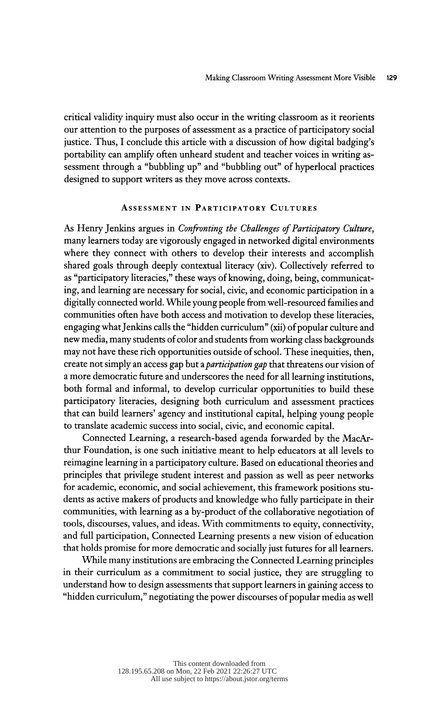critical validity inquiry must also occur in the writing classroom as it reorients our attention to the purposes of assessment as a practice of participatory social justice. Thus, I conclude this article with a discussion of how digital badging's portability can amplify often unheard student and teacher voices in writing as sessment through a "bubbling up" and "bubbling out" of hyperlocal practices designed to support writers as they move across contexts.

## Assessment in Participatory Cultures

As Henry Jenkins argues in Confronting the Challenges of Participatory Culture, many learners today are vigorously engaged in networked digital environments where they connect with others to develop their interests and accomplish shared goals through deeply contextual literacy (xiv). Collectively referred to as "participatory literacies," these ways of knowing, doing, being, communicat ing, and learning are necessary for social, civic, and economic participation in a digitally connected world. While young people from well-resourced families and communities often have both access and motivation to develop these literacies, engaging what Jenkins calls the "hidden curriculum" (xii) of popular culture and new media, many students of color and students from working class backgrounds may not have these rich opportunities outside of school. These inequities, then, create not simply an access gap but a *participation gap* that threatens our vision of a more democratic future and underscores the need for all learning institutions, both formal and informal, to develop curricular opportunities to build these participatory literacies, designing both curriculum and assessment practices that can build learners' agency and institutional capital, helping young people to translate academic success into social, civic, and economic capital.

 Connected Learning, a research-based agenda forwarded by the MacAr thur Foundation, is one such initiative meant to help educators at all levels to reimagine learning in a participatory culture. Based on educational theories and principles that privilege student interest and passion as well as peer networks for academic, economic, and social achievement, this framework positions stu dents as active makers of products and knowledge who fully participate in their communities, with learning as a by-product of the collaborative negotiation of tools, discourses, values, and ideas. With commitments to equity, connectivity, and full participation, Connected Learning presents a new vision of education that holds promise for more democratic and socially just futures for all learners.

 While many institutions are embracing the Connected Learning principles in their curriculum as a commitment to social justice, they are struggling to understand how to design assessments that support learners in gaining access to "hidden curriculum," negotiating the power discourses of popular media as well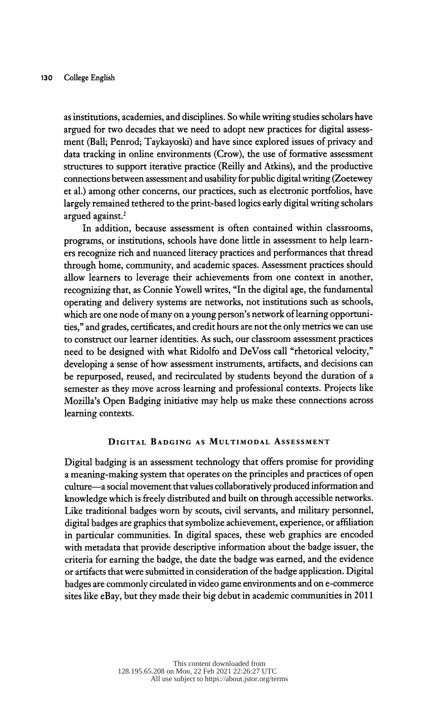as institutions, academies, and disciplines. So while writing studies scholars have argued for two decades that we need to adopt new practices for digital assess ment (Ball; Penrod; Taykayoski) and have since explored issues of privacy and data tracking in online environments (Crow), the use of formative assessment structures to support iterative practice (Reilly and Atkins), and the productive connections between assessment and usability for public digital writing (Zoetewey et al.) among other concerns, our practices, such as electronic portfolios, have largely remained tethered to the print-based logics early digital writing scholars argued against.<sup>2</sup>

 In addition, because assessment is often contained within classrooms, programs, or institutions, schools have done little in assessment to help learn ers recognize rich and nuanced literacy practices and performances that thread through home, community, and academic spaces. Assessment practices should allow learners to leverage their achievements from one context in another, recognizing that, as Connie Yowell writes, "In the digital age, the fundamental operating and delivery systems are networks, not institutions such as schools, which are one node of many on a young person's network of learning opportuni ties," and grades, certificates, and credit hours are not the only metrics we can use to construct our learner identities. As such, our classroom assessment practices need to be designed with what Ridolfo and DeVoss call "rhetorical velocity," developing a sense of how assessment instruments, artifacts, and decisions can be repurposed, reused, and recirculated by students beyond the duration of a semester as they move across learning and professional contexts. Projects like Mozilla's Open Badging initiative may help us make these connections across learning contexts.

## Digital Badging as Multimodal Assessment

 Digital badging is an assessment technology that offers promise for providing a meaning-making system that operates on the principles and practices of open culture-a social movement that values collaboratively produced information and knowledge which is freely distributed and built on through accessible networks. Like traditional badges worn by scouts, civil servants, and military personnel, digital badges are graphics that symbolize achievement, experience, or affiliation in particular communities. In digital spaces, these web graphics are encoded with metadata that provide descriptive information about the badge issuer, the criteria for earning the badge, the date the badge was earned, and the evidence or artifacts that were submitted in consideration of the badge application. Digital badges are commonly circulated in video game environments and on e-commerce sites like eBay, but they made their big debut in academic communities in 2011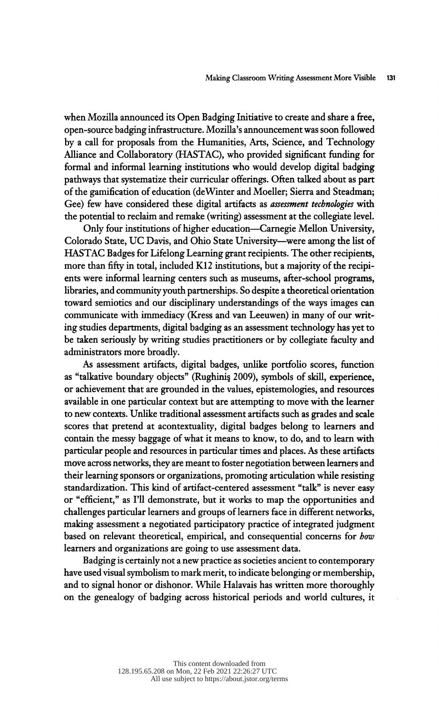when Mozilla announced its Open Badging Initiative to create and share a free, open-source badging infrastructure. Mozilla's announcement was soon followed by a call for proposals from the Humanities, Arts, Science, and Technology Alliance and Collaboratory (HASTAC), who provided significant funding for formal and informal learning institutions who would develop digital badging pathways that systematize their curricular offerings. Often talked about as part of the gamification of education (de Winter and Moeller; Sierra and Steadman; Gee) few have considered these digital artifacts as *assessment technologies* with the potential to reclaim and remake (writing) assessment at the collegiate level.

Only four institutions of higher education—Carnegie Mellon University, Colorado State, UC Davis, and Ohio State University-were among the list of HASTAC Badges for Lifelong Learning grant recipients. The other recipients, more than fifty in total, included K12 institutions, but a majority of the recipi ents were informal learning centers such as museums, after-school programs, libraries, and community youth partnerships. So despite a theoretical orientation toward semiotics and our disciplinary understandings of the ways images can communicate with immediacy (Kress and van Leeuwen) in many of our writ ing studies departments, digital badging as an assessment technology has yet to be taken seriously by writing studies practitioners or by collegiate faculty and administrators more broadly.

 As assessment artifacts, digital badges, unlike portfolio scores, function as "talkative boundary objects" (Rughini§ 2009), symbols of skill, experience, or achievement that are grounded in the values, epistemologies, and resources available in one particular context but are attempting to move with the learner to new contexts. Unlike traditional assessment artifacts such as grades and scale scores that pretend at acontextuality, digital badges belong to learners and contain the messy baggage of what it means to know, to do, and to learn with particular people and resources in particular times and places. As these artifacts move across networks, they are meant to foster negotiation between learners and their learning sponsors or organizations, promoting articulation while resisting standardization. This kind of artifact-centered assessment "talk" is never easy or "efficient," as I'll demonstrate, but it works to map the opportunities and challenges particular learners and groups of learners face in different networks, making assessment a negotiated participatory practice of integrated judgment based on relevant theoretical, empirical, and consequential concerns for how learners and organizations are going to use assessment data.

 Badging is certainly not a new practice as societies ancient to contemporary have used visual symbolism to mark merit, to indicate belonging or membership, and to signal honor or dishonor. While Halavais has written more thoroughly on the genealogy of badging across historical periods and world cultures, it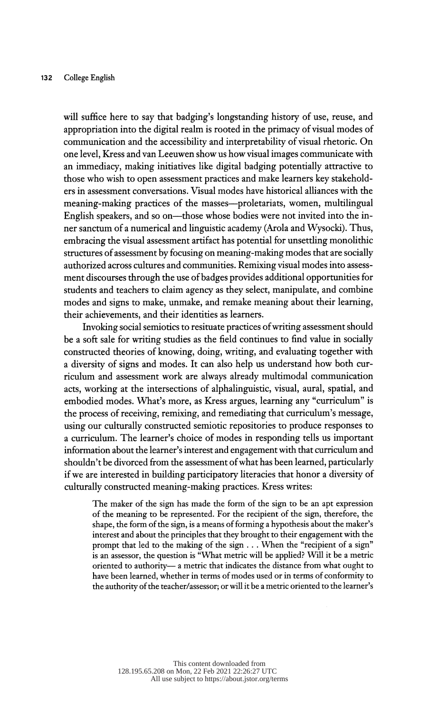will suffice here to say that badging's longstanding history of use, reuse, and appropriation into the digital realm is rooted in the primacy of visual modes of communication and the accessibility and interpretability of visual rhetoric. On one level, Kress and van Leeuwen show us how visual images communicate with an immediacy, making initiatives like digital badging potentially attractive to those who wish to open assessment practices and make learners key stakehold ers in assessment conversations. Visual modes have historical alliances with the meaning-making practices of the masses—proletariats, women, multilingual English speakers, and so on—those whose bodies were not invited into the in ner sanctum of a numerical and linguistic academy (Arola and Wysocki). Thus, embracing the visual assessment artifact has potential for unsettling monolithic structures of assessment by focusing on meaning-making modes that are socially authorized across cultures and communities. Remixing visual modes into assess ment discourses through the use of badges provides additional opportunities for students and teachers to claim agency as they select, manipulate, and combine modes and signs to make, unmake, and remake meaning about their learning, their achievements, and their identities as learners.

 Invoking social semiotics to resituate practices of writing assessment should be a soft sale for writing studies as the field continues to find value in socially constructed theories of knowing, doing, writing, and evaluating together with a diversity of signs and modes. It can also help us understand how both cur riculum and assessment work are always already multimodal communication acts, working at the intersections of alphalinguistic, visual, aural, spatial, and embodied modes. Whaťs more, as Kress argues, learning any "curriculum" is the process of receiving, remixing, and remediating that curriculum's message, using our culturally constructed semiotic repositories to produce responses to a curriculum. The learner's choice of modes in responding tells us important information about the learner's interest and engagement with that curriculum and shouldn't be divorced from the assessment of what has been learned, particularly if we are interested in building participatory literacies that honor a diversity of culturally constructed meaning-making practices. Kress writes:

 The maker of the sign has made the form of the sign to be an apt expression of the meaning to be represented. For the recipient of the sign, therefore, the shape, the form of the sign, is a means of forming a hypothesis about the maker's interest and about the principles that they brought to their engagement with the prompt that led to the making of the sign . . . When the "recipient of a sign" is an assessor, the question is "What metric will be applied? Will it be a metric oriented to authority- a metric that indicates the distance from what ought to have been learned, whether in terms of modes used or in terms of conformity to the authority of the teacher/assessor; or will it be a metric oriented to the learner's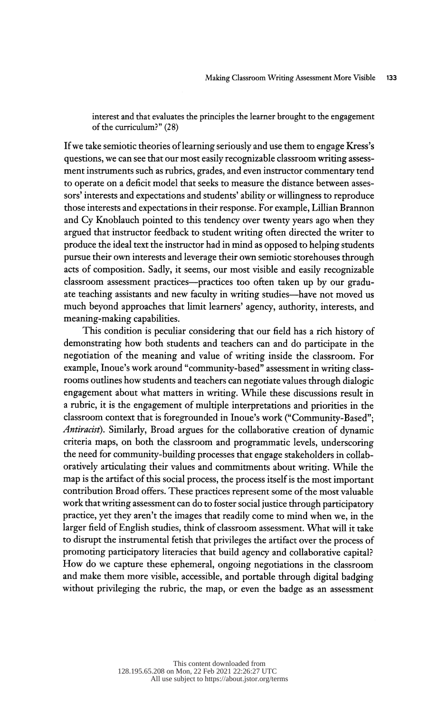interest and that evaluates the principles the learner brought to the engagement of the curriculum?" (28)

 If we take semiotic theories of learning seriously and use them to engage Kress's questions, we can see that our most easily recognizable classroom writing assess ment instruments such as rubrics, grades, and even instructor commentary tend to operate on a deficit model that seeks to measure the distance between asses sors' interests and expectations and students' ability or willingness to reproduce those interests and expectations in their response. For example, Lillian Brannon and Cy Knoblauch pointed to this tendency over twenty years ago when they argued that instructor feedback to student writing often directed the writer to produce the ideal text the instructor had in mind as opposed to helping students pursue their own interests and leverage their own semiotic storehouses through acts of composition. Sadly, it seems, our most visible and easily recognizable classroom assessment practices—practices too often taken up by our graduate teaching assistants and new faculty in writing studies—have not moved us much beyond approaches that limit learners' agency, authority, interests, and meaning-making capabilities.

 This condition is peculiar considering that our field has a rich history of demonstrating how both students and teachers can and do participate in the negotiation of the meaning and value of writing inside the classroom. For example, Inoue's work around "community-based" assessment in writing class rooms outlines how students and teachers can negotiate values through dialogic engagement about what matters in writing. While these discussions result in a rubric, it is the engagement of multiple interpretations and priorities in the classroom context that is foregrounded in Inoue's work ("Community-Based"; Antiracist). Similarly, Broad argues for the collaborative creation of dynamic criteria maps, on both the classroom and programmatic levels, underscoring the need for community-building processes that engage stakeholders in collab oratively articulating their values and commitments about writing. While the map is the artifact of this social process, the process itself is the most important contribution Broad offers. These practices represent some of the most valuable work that writing assessment can do to foster social justice through participatory practice, yet they aren't the images that readily come to mind when we, in the larger field of English studies, think of classroom assessment. What will it take to disrupt the instrumental fetish that privileges the artifact over the process of promoting participatory literacies that build agency and collaborative capital? How do we capture these ephemeral, ongoing negotiations in the classroom and make them more visible, accessible, and portable through digital badging without privileging the rubric, the map, or even the badge as an assessment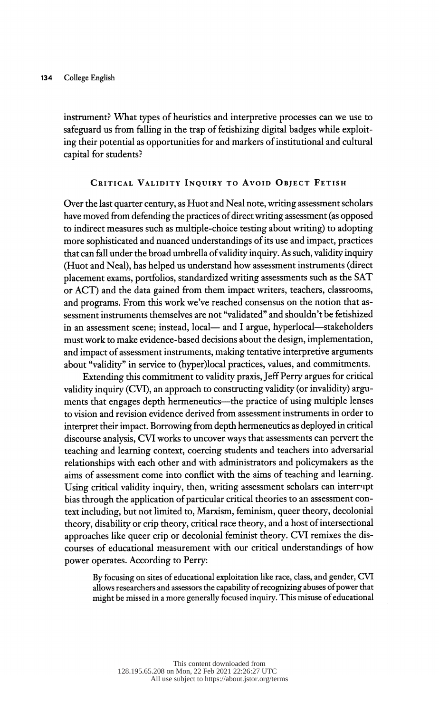instrument? What types of heuristics and interpretive processes can we use to safeguard us from falling in the trap of fetishizing digital badges while exploit ing their potential as opportunities for and markers of institutional and cultural capital for students?

## CRITICAL VALIDITY INQUIRY TO AVOID OBJECT FETISH

 Over the last quarter century, as Huot and Neal note, writing assessment scholars have moved from defending the practices of direct writing assessment (as opposed to indirect measures such as multiple-choice testing about writing) to adopting more sophisticated and nuanced understandings of its use and impact, practices that can fall under the broad umbrella of validity inquiry. As such, validity inquiry (Huot and Neal), has helped us understand how assessment instruments (direct placement exams, portfolios, standardized writing assessments such as the SAT or ACT) and the data gained from them impact writers, teachers, classrooms, and programs. From this work we've reached consensus on the notion that as sessment instruments themselves are not "validated" and shouldn't be fetishized in an assessment scene; instead, local- and I argue, hyperlocal-stakeholders must work to make evidence-based decisions about the design, implementation, and impact of assessment instruments, making tentative interpretive arguments about "validity" in service to (hyper)local practices, values, and commitments.

 Extending this commitment to validity praxis, Jeff Perry argues for critical validity inquiry (CVI), an approach to constructing validity (or invalidity) argu ments that engages depth hermeneutics—the practice of using multiple lenses to vision and revision evidence derived from assessment instruments in order to interpret their impact. Borrowing from depth hermeneutics as deployed in critical discourse analysis, CVI works to uncover ways that assessments can pervert the teaching and learning context, coercing students and teachers into adversarial relationships with each other and with administrators and policymakers as the aims of assessment come into conflict with the aims of teaching and learning. Using critical validity inquiry, then, writing assessment scholars can interrupt bias through the application of particular critical theories to an assessment con text including, but not limited to, Marxism, feminism, queer theory, decolonial theory, disability or crip theory, critical race theory, and a host of intersectional approaches like queer crip or decolonial feminist theory. CVI remixes the dis courses of educational measurement with our critical understandings of how power operates. According to Perry:

 By focusing on sites of educational exploitation like race, class, and gender, CVT allows researchers and assessors the capability of recognizing abuses of power that might be missed in a more generally focused inquiry. This misuse of educational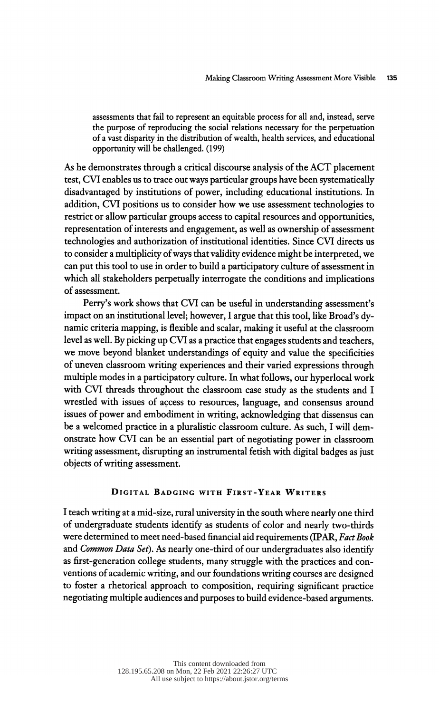assessments that fail to represent an equitable process for all and, instead, serve the purpose of reproducing the social relations necessary for the perpetuation of a vast disparity in the distribution of wealth, health services, and educational opportunity will be challenged. (199)

 As he demonstrates through a critical discourse analysis of the ACT placement test, CVI enables us to trace out ways particular groups have been systematically disadvantaged by institutions of power, including educational institutions. In addition, CVI positions us to consider how we use assessment technologies to restrict or allow particular groups access to capital resources and opportunities, representation of interests and engagement, as well as ownership of assessment technologies and authorization of institutional identities. Since CVI directs us to consider a multiplicity of ways that validity evidence might be interpreted, we can put this tool to use in order to build a participatory culture of assessment in which all stakeholders perpetually interrogate the conditions and implications of assessment.

 Perry's work shows that CVI can be useful in understanding assessment's impact on an institutional level; however, I argue that this tool, like Broad's dy namic criteria mapping, is flexible and scalar, making it useful at the classroom level as well. By picking up CVI as a practice that engages students and teachers, we move beyond blanket understandings of equity and value the specificities of uneven classroom writing experiences and their varied expressions through multiple modes in a participatory culture. In what follows, our hyperlocal work with CVI threads throughout the classroom case study as the students and I wrestled with issues of access to resources, language, and consensus around issues of power and embodiment in writing, acknowledging that dissensus can be a welcomed practice in a pluralistic classroom culture. As such, I will dem onstrate how CVI can be an essential part of negotiating power in classroom writing assessment, disrupting an instrumental fetish with digital badges as just objects of writing assessment.

#### Digital Badging with First-Year Writers

 I teach writing at a mid-size, rural university in the south where nearly one third of undergraduate students identify as students of color and nearly two-thirds were determined to meet need-based financial aid requirements (IPAR, Fact Book and Common Data Set). As nearly one-third of our undergraduates also identify as first-generation college students, many struggle with the practices and con ventions of academic writing, and our foundations writing courses are designed to foster a rhetorical approach to composition, requiring significant practice negotiating multiple audiences and purposes to build evidence-based arguments.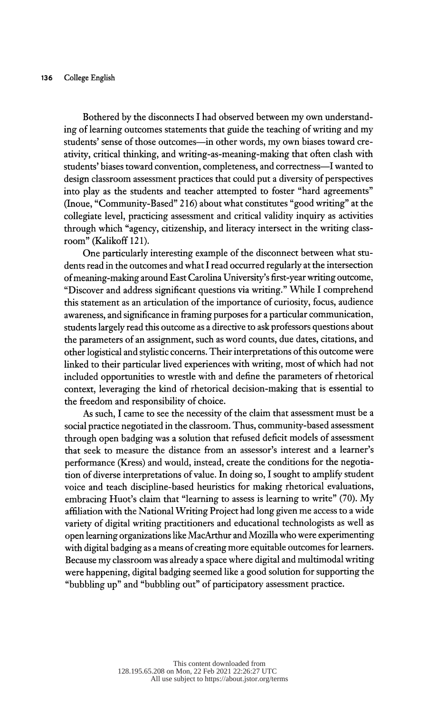Bothered by the disconnects I had observed between my own understand ing of learning outcomes statements that guide the teaching of writing and my students' sense of those outcomes—in other words, my own biases toward cre ativity, critical thinking, and writing-as-meaning-making that often clash with students' biases toward convention, completeness, and correctness-I wanted to design classroom assessment practices that could put a diversity of perspectives into play as the students and teacher attempted to foster "hard agreements" (Inoue, "Community-Based" 216) about what constitutes "good writing" at the collegiate level, practicing assessment and critical validity inquiry as activities through which "agency, citizenship, and literacy intersect in the writing class room" (Kalikoff 121).

 One particularly interesting example of the disconnect between what stu dents read in the outcomes and what I read occurred regularly at the intersection of meaning-making around East Carolina University's first-year writing outcome, "Discover and address significant questions via writing." While I comprehend this statement as an articulation of the importance of curiosity, focus, audience awareness, and significance in framing purposes for a particular communication, students largely read this outcome as a directive to ask professors questions about the parameters of an assignment, such as word counts, due dates, citations, and other logistical and stylistic concerns. Their interpretations of this outcome were linked to their particular lived experiences with writing, most of which had not included opportunities to wrestle with and define the parameters of rhetorical context, leveraging the kind of rhetorical decision-making that is essential to the freedom and responsibility of choice.

 As such, I came to see the necessity of the claim that assessment must be a social practice negotiated in the classroom. Thus, community-based assessment through open badging was a solution that refused deficit models of assessment that seek to measure the distance from an assessor's interest and a learner's performance (Kress) and would, instead, create the conditions for the negotia tion of diverse interpretations of value. In doing so, I sought to amplify student voice and teach discipline-based heuristics for making rhetorical evaluations, embracing Huot's claim that "learning to assess is learning to write" (70). My affiliation with the National Writing Project had long given me access to a wide variety of digital writing practitioners and educational technologists as well as open learning organizations like MacArthur and Mozilla who were experimenting with digital badging as a means of creating more equitable outcomes for learners. Because my classroom was already a space where digital and multimodal writing were happening, digital badging seemed like a good solution for supporting the "bubbling up" and "bubbling out" of participatory assessment practice.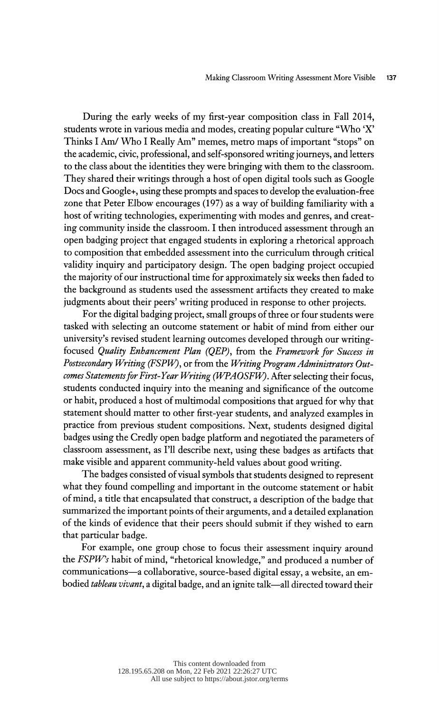During the early weeks of my first-year composition class in Fall 2014, students wrote in various media and modes, creating popular culture "Who 'X' Thinks I Am/ Who I Really Am" memes, metro maps of important "stops" on the academic, civic, professional, and self-sponsored writing journeys, and letters to the class about the identities they were bringing with them to the classroom. They shared their writings through a host of open digital tools such as Google Docs and Google+, using these prompts and spaces to develop the evaluation-free zone that Peter Elbow encourages (197) as a way of building familiarity with a host of writing technologies, experimenting with modes and genres, and creat ing community inside the classroom. I then introduced assessment through an open badging project that engaged students in exploring a rhetorical approach to composition that embedded assessment into the curriculum through critical validity inquiry and participatory design. The open badging project occupied the majority of our instructional time for approximately six weeks then faded to the background as students used the assessment artifacts they created to make judgments about their peers' writing produced in response to other projects.

 For the digital badging project, small groups of three or four students were tasked with selecting an outcome statement or habit of mind from either our university's revised student learning outcomes developed through our writing focused Quality Enhancement Plan (QEP), from the Framework for Success in Postsecondary Writing (FSPW), or from the Writing Program Administrators Out comes Statements for First-Year Writing (WPAOSFW). After selecting their focus, students conducted inquiry into the meaning and significance of the outcome or habit, produced a host of multimodal compositions that argued for why that statement should matter to other first-year students, and analyzed examples in practice from previous student compositions. Next, students designed digital badges using the Credly open badge platform and negotiated the parameters of classroom assessment, as I'll describe next, using these badges as artifacts that make visible and apparent community-held values about good writing.

 The badges consisted of visual symbols that students designed to represent what they found compelling and important in the outcome statement or habit of mind, a title that encapsulated that construct, a description of the badge that summarized the important points of their arguments, and a detailed explanation of the kinds of evidence that their peers should submit if they wished to earn that particular badge.

 For example, one group chose to focus their assessment inquiry around the FSPW's habit of mind, "rhetorical knowledge," and produced a number of communications-a collaborative, source-based digital essay, a website, an embodied tableau vivant, a digital badge, and an ignite talk—all directed toward their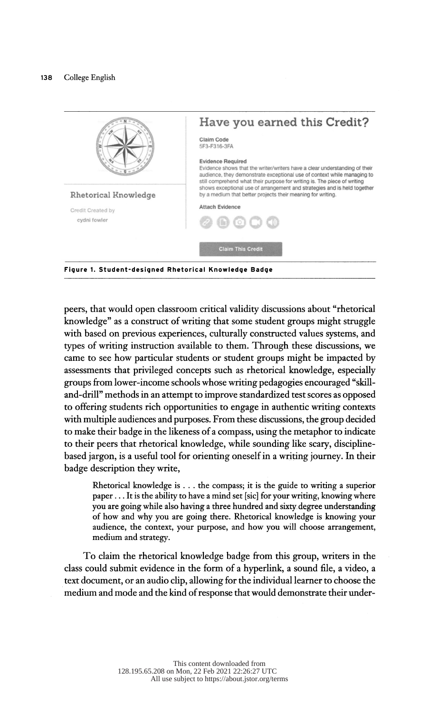

 peers, that would open classroom critical validity discussions about "rhetorical knowledge" as a construct of writing that some student groups might struggle with based on previous experiences, culturally constructed values systems, and types of writing instruction available to them. Through these discussions, we came to see how particular students or student groups might be impacted by assessments that privileged concepts such as rhetorical knowledge, especially groups from lower-income schools whose writing pedagogies encouraged "skill and-drill" methods in an attempt to improve standardized test scores as opposed to offering students rich opportunities to engage in authentic writing contexts with multiple audiences and purposes. From these discussions, the group decided to make their badge in the likeness of a compass, using the metaphor to indicate to their peers that rhetorical knowledge, while sounding like scary, discipline based jargon, is a useful tool for orienting oneself in a writing journey. In their badge description they write,

 Rhetorical knowledge is . . . the compass; it is the guide to writing a superior paper ... It is the ability to have a mind set [sic] for your writing, knowing where you are going while also having a three hundred and sixty degree understanding of how and why you are going there. Rhetorical knowledge is knowing your audience, the context, your purpose, and how you will choose arrangement, medium and strategy.

 To claim the rhetorical knowledge badge from this group, writers in the class could submit evidence in the form of a hyperlink, a sound file, a video, a text document, or an audio clip, allowing for the individual learner to choose the medium and mode and the kind of response that would demonstrate their under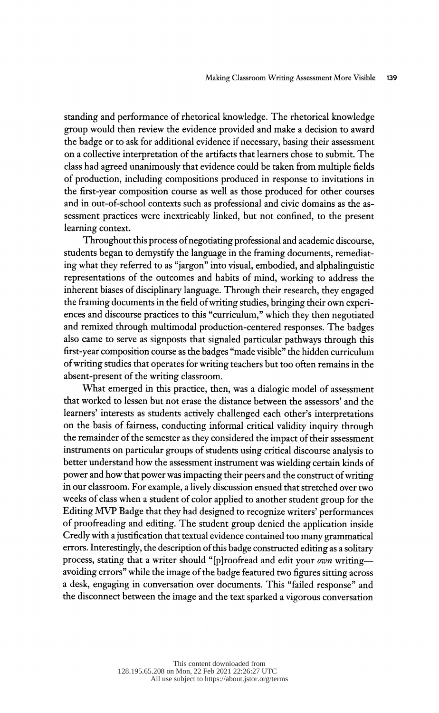standing and performance of rhetorical knowledge. The rhetorical knowledge group would then review the evidence provided and make a decision to award the badge or to ask for additional evidence if necessary, basing their assessment on a collective interpretation of the artifacts that learners chose to submit. The class had agreed unanimously that evidence could be taken from multiple fields of production, including compositions produced in response to invitations in the first-year composition course as well as those produced for other courses and in out-of-school contexts such as professional and civic domains as the as sessment practices were inextricably linked, but not confined, to the present learning context.

 Throughout this process of negotiating professional and academic discourse, students began to demystify the language in the framing documents, remediat ing what they referred to as "jargon" into visual, embodied, and alphalinguistic representations of the outcomes and habits of mind, working to address the inherent biases of disciplinary language. Through their research, they engaged the framing documents in the field of writing studies, bringing their own experi ences and discourse practices to this "curriculum," which they then negotiated and remixed through multimodal production-centered responses. The badges also came to serve as signposts that signaled particular pathways through this first-year composition course as the badges "made visible" the hidden curriculum of writing studies that operates for writing teachers but too often remains in the absent-present of the writing classroom.

 What emerged in this practice, then, was a dialogic model of assessment that worked to lessen but not erase the distance between the assessors' and the learners' interests as students actively challenged each other's interpretations on the basis of fairness, conducting informal critical validity inquiry through the remainder of the semester as they considered the impact of their assessment instruments on particular groups of students using critical discourse analysis to better understand how the assessment instrument was wielding certain kinds of power and how that power was impacting their peers and the construct of writing in our classroom. For example, a lively discussion ensued that stretched over two weeks of class when a student of color applied to another student group for the Editing MVP Badge that they had designed to recognize writers' performances of proofreading and editing. The student group denied the application inside Credly with a justification that textual evidence contained too many grammatical errors. Interestingly, the description of this badge constructed editing as a solitary process, stating that a writer should "[p]roofread and edit your own writing avoiding errors" while the image of the badge featured two figures sitting across a desk, engaging in conversation over documents. This "failed response" and the disconnect between the image and the text sparked a vigorous conversation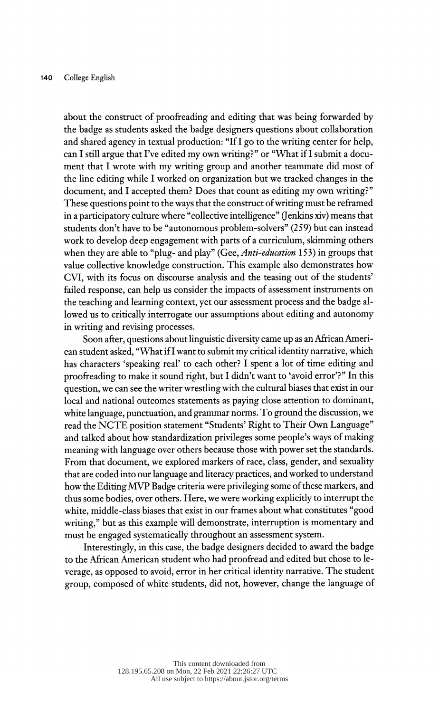about the construct of proofreading and editing that was being forwarded by the badge as students asked the badge designers questions about collaboration and shared agency in textual production: "If I go to the writing center for help, can I still argue that I've edited my own writing?" or "What if I submit a docu ment that I wrote with my writing group and another teammate did most of the line editing while I worked on organization but we tracked changes in the document, and I accepted them? Does that count as editing my own writing?" These questions point to the ways that the construct of writing must be reframed in a participatory culture where "collective intelligence" (Jenkins xiv) means that students don't have to be "autonomous problem-solvers" (259) but can instead work to develop deep engagement with parts of a curriculum, skimming others when they are able to "plug- and play" (Gee, Anti-education 153) in groups that value collective knowledge construction. This example also demonstrates how CVI, with its focus on discourse analysis and the teasing out of the students' failed response, can help us consider the impacts of assessment instruments on the teaching and learning context, yet our assessment process and the badge al lowed us to critically interrogate our assumptions about editing and autonomy in writing and revising processes.

 Soon after, questions about linguistic diversity came up as an African Ameri can student asked, "What if I want to submit my critical identity narrative, which has characters 'speaking real' to each other? I spent a lot of time editing and proofreading to make it sound right, but I didn't want to 'avoid error'?" In this question, we can see the writer wrestling with the cultural biases that exist in our local and national outcomes statements as paying close attention to dominant, white language, punctuation, and grammar norms. To ground the discussion, we read the NCTE position statement "Students' Right to Their Own Language" and talked about how standardization privileges some people's ways of making meaning with language over others because those with power set the standards. From that document, we explored markers of race, class, gender, and sexuality that are coded into our language and literacy practices, and worked to understand how the Editing MVP Badge criteria were privileging some of these markers, and thus some bodies, over others. Here, we were working explicitly to interrupt the white, middle-class biases that exist in our frames about what constitutes "good writing," but as this example will demonstrate, interruption is momentary and must be engaged systematically throughout an assessment system.

 Interestingly, in this case, the badge designers decided to award the badge to the African American student who had proofread and edited but chose to le verage, as opposed to avoid, error in her critical identity narrative. The student group, composed of white students, did not, however, change the language of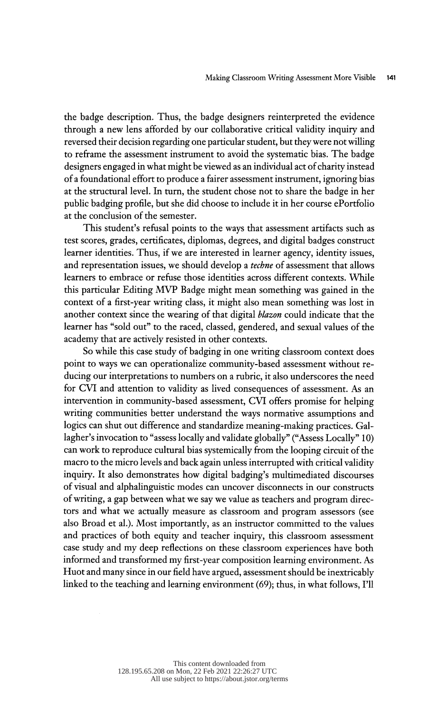the badge description. Thus, the badge designers reinterpreted the evidence through a new lens afforded by our collaborative critical validity inquiry and reversed their decision regarding one particular student, but they were not willing to reffame the assessment instrument to avoid the systematic bias. The badge designers engaged in what might be viewed as an individual act of charity instead of a foundational effort to produce a fairer assessment instrument, ignoring bias at the structural level. In turn, the student chose not to share the badge in her public badging profile, but she did choose to include it in her course ePortfolio at the conclusion of the semester.

 This student's refusal points to the ways that assessment artifacts such as test scores, grades, certificates, diplomas, degrees, and digital badges construct learner identities. Thus, if we are interested in learner agency, identity issues, and representation issues, we should develop a techne of assessment that allows learners to embrace or refuse those identities across different contexts. While this particular Editing MVP Badge might mean something was gained in the context of a first-year writing class, it might also mean something was lost in another context since the wearing of that digital blazon could indicate that the learner has "sold out" to the raced, classed, gendered, and sexual values of the academy that are actively resisted in other contexts.

 So while this case study of badging in one writing classroom context does point to ways we can operationalize community-based assessment without re ducing our interpretations to numbers on a rubric, it also underscores the need for CVI and attention to validity as lived consequences of assessment. As an intervention in community-based assessment, CVI offers promise for helping writing communities better understand the ways normative assumptions and logics can shut out difference and standardize meaning-making practices. Gal lagher's invocation to "assess locally and validate globally" ("Assess Locally" 10) can work to reproduce cultural bias systemically from the looping circuit of the macro to the micro levels and back again unless interrupted with critical validity inquiry. It also demonstrates how digital badging's multimediated discourses of visual and alphalinguistic modes can uncover disconnects in our constructs of writing, a gap between what we say we value as teachers and program direc tors and what we actually measure as classroom and program assessors (see also Broad et al.). Most importantly, as an instructor committed to the values and practices of both equity and teacher inquiry, this classroom assessment case study and my deep reflections on these classroom experiences have both informed and transformed my first-year composition learning environment. As Huot and many since in our field have argued, assessment should be inextricably linked to the teaching and learning environment (69); thus, in what follows, I'll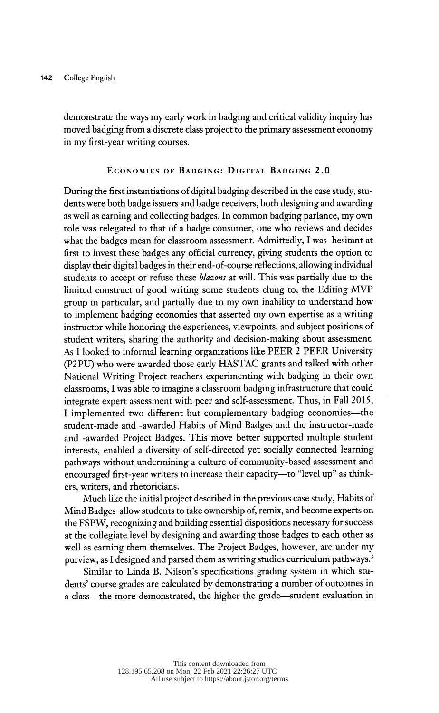demonstrate the ways my early work in badging and critical validity inquiry has moved badging from a discrete class project to the primary assessment economy in my first-year writing courses.

### Economies of Badging: Digital Badging 2.0

 During the first instantiations of digital badging described in the case study, stu dents were both badge issuers and badge receivers, both designing and awarding as well as earning and collecting badges. In common badging parlance, my own role was relegated to that of a badge consumer, one who reviews and decides what the badges mean for classroom assessment. Admittedly, I was hesitant at first to invest these badges any official currency, giving students the option to display their digital badges in their end-of-course reflections, allowing individual students to accept or refuse these *blazons* at will. This was partially due to the limited construct of good writing some students clung to, the Editing MVP group in particular, and partially due to my own inability to understand how to implement badging economies that asserted my own expertise as a writing instructor while honoring the experiences, viewpoints, and subject positions of student writers, sharing the authority and decision-making about assessment. As I looked to informal learning organizations like PEER 2 PEER University (P2PU) who were awarded those early HASTAC grants and talked with other National Writing Project teachers experimenting with badging in their own classrooms, I was able to imagine a classroom badging infrastructure that could integrate expert assessment with peer and self-assessment. Thus, in Fall 2015, I implemented two different but complementary badging economies—the student-made and -awarded Habits of Mind Badges and the instructor-made and -awarded Project Badges. This move better supported multiple student interests, enabled a diversity of self-directed yet socially connected learning pathways without undermining a culture of community-based assessment and encouraged first-year writers to increase their capacity--to "level up" as thinkers, writers, and rhetoricians.

 Much like the initial project described in the previous case study, Habits of Mind Badges allow students to take ownership of, remix, and become experts on the FSPW, recognizing and building essential dispositions necessary for success at the collegiate level by designing and awarding those badges to each other as well as earning them themselves. The Project Badges, however, are under my purview, as I designed and parsed them as writing studies curriculum pathways.<sup>3</sup>

 Similar to Linda B. Nilson's specifications grading system in which stu dents' course grades are calculated by demonstrating a number of outcomes in a class—the more demonstrated, the higher the grade—student evaluation in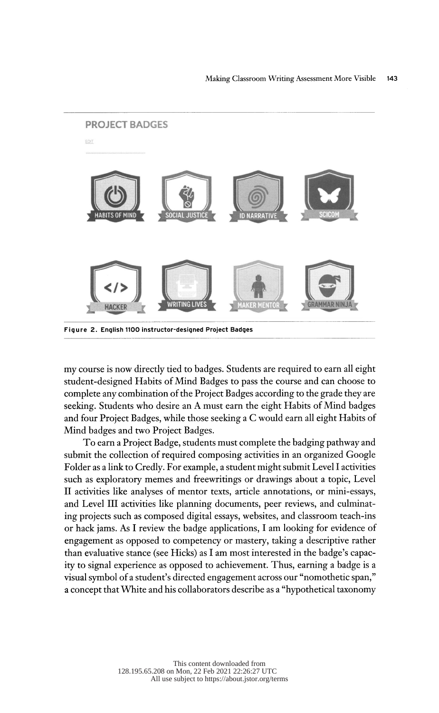

 my course is now directly tied to badges. Students are required to earn all eight student-designed Habits of Mind Badges to pass the course and can choose to complete any combination of the Project Badges according to the grade they are seeking. Students who desire an A must earn the eight Habits of Mind badges and four Project Badges, while those seeking a C would earn all eight Habits of Mind badges and two Project Badges.

 To earn a Project Badge, students must complete the badging pathway and submit the collection of required composing activities in an organized Google Folder as a link to Credly. For example, a student might submit Level I activities such as exploratory memes and freewritings or drawings about a topic, Level II activities like analyses of mentor texts, article annotations, or mini-essays, and Level III activities like planning documents, peer reviews, and culminat ing projects such as composed digital essays, websites, and classroom teach-ins or hack jams. As I review the badge applications, I am looking for evidence of engagement as opposed to competency or mastery, taking a descriptive rather than evaluative stance (see Hicks) as I am most interested in the badge's capac ity to signal experience as opposed to achievement. Thus, earning a badge is a visual symbol of a student's directed engagement across our "nomothetic span," a concept that White and his collaborators describe as a "hypothetical taxonomy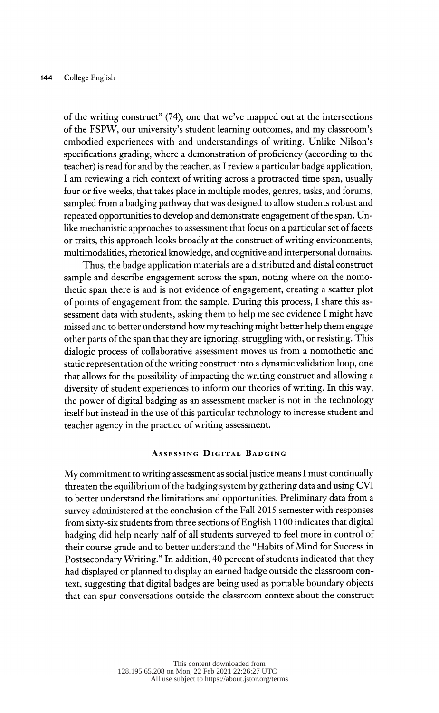of the writing construct" (74), one that we've mapped out at the intersections of the FSPW, our university's student learning outcomes, and my classroom's embodied experiences with and understandings of writing. Unlike Nilson's specifications grading, where a demonstration of proficiency (according to the teacher) is read for and by the teacher, as I review a particular badge application, I am reviewing a rich context of writing across a protracted time span, usually four or five weeks, that takes place in multiple modes, genres, tasks, and forums, sampled from a badging pathway that was designed to allow students robust and repeated opportunities to develop and demonstrate engagement of the span. Un like mechanistic approaches to assessment that focus on a particular set of facets or traits, this approach looks broadly at the construct of writing environments, multimodalities, rhetorical knowledge, and cognitive and interpersonal domains.

 Thus, the badge application materials are a distributed and distal construct sample and describe engagement across the span, noting where on the nomo thetic span there is and is not evidence of engagement, creating a scatter plot of points of engagement from the sample. During this process, I share this as sessment data with students, asking them to help me see evidence I might have missed and to better understand how my teaching might better help them engage other parts of the span that they are ignoring, struggling with, or resisting. This dialogic process of collaborative assessment moves us from a nomothetic and static representation of the writing construct into a dynamic validation loop, one that allows for the possibility of impacting the writing construct and allowing a diversity of student experiences to inform our theories of writing. In this way, the power of digital badging as an assessment marker is not in the technology itself but instead in the use of this particular technology to increase student and teacher agency in the practice of writing assessment.

# Assessing Digital Badging

 My commitment to writing assessment as social justice means I must continually threaten the equilibrium of the badging system by gathering data and using CVI to better understand the limitations and opportunities. Preliminary data from a survey administered at the conclusion of the Fall 2015 semester with responses from sixty-six students from three sections of English 1 100 indicates that digital badging did help nearly half of all students surveyed to feel more in control of their course grade and to better understand the "Habits of Mind for Success in Postsecondary Writing." In addition, 40 percent of students indicated that they had displayed or planned to display an earned badge outside the classroom con text, suggesting that digital badges are being used as portable boundary objects that can spur conversations outside the classroom context about the construct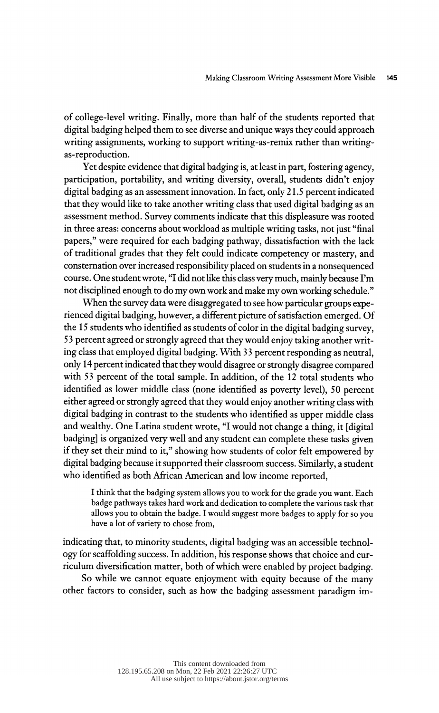of college-level writing. Finally, more than half of the students reported that digital badging helped them to see diverse and unique ways they could approach writing assignments, working to support writing-as-remix rather than writingas-reproduction.

 Yet despite evidence that digital badging is, at least in part, fostering agency, participation, portability, and writing diversity, overall, students didn't enjoy digital badging as an assessment innovation. In fact, only 21.5 percent indicated that they would like to take another writing class that used digital badging as an assessment method. Survey comments indicate that this displeasure was rooted in three areas: concerns about workload as multiple writing tasks, not just "final papers," were required for each badging pathway, dissatisfaction with the lack of traditional grades that they felt could indicate competency or mastery, and consternation over increased responsibility placed on students in a nonsequenced course. One student wrote, "I did not like this class very much, mainly because I'm not disciplined enough to do my own work and make my own working schedule."

When the survey data were disaggregated to see how particular groups expe rienced digital badging, however, a different picture of satisfaction emerged. Of the 15 students who identified as students of color in the digital badging survey, 5 3 percent agreed or strongly agreed that they would enjoy taking another writ ing class that employed digital badging. With 33 percent responding as neutral, only 14 percent indicated that they would disagree or strongly disagree compared with 53 percent of the total sample. In addition, of the 12 total students who identified as lower middle class (none identified as poverty level), 50 percent either agreed or strongly agreed that they would enjoy another writing class with digital badging in contrast to the students who identified as upper middle class and wealthy. One Latina student wrote, "I would not change a thing, it [digital badging] is organized very well and any student can complete these tasks given if they set their mind to it," showing how students of color felt empowered by digital badging because it supported their classroom success. Similarly, a student who identified as both African American and low income reported,

 I think that the badging system allows you to work for the grade you want. Each badge pathways takes hard work and dedication to complete the various task that allows you to obtain the badge. I would suggest more badges to apply for so you have a lot of variety to chose from,

 indicating that, to minority students, digital badging was an accessible technol ogy for scaffolding success. In addition, his response shows that choice and cur riculum diversification matter, both of which were enabled by project badging.

 So while we cannot equate enjoyment with equity because of the many other factors to consider, such as how the badging assessment paradigm im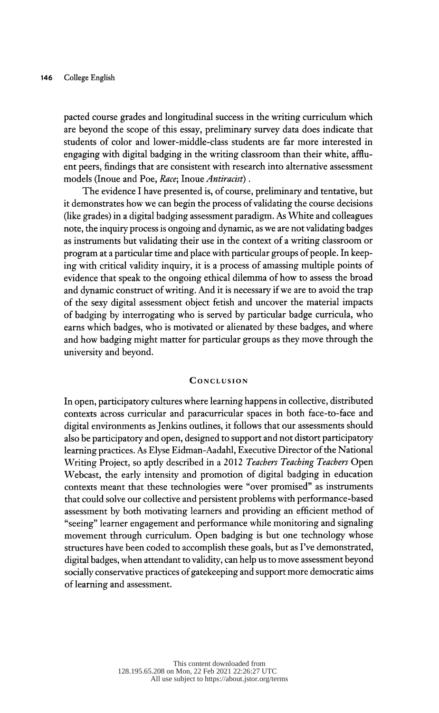pacted course grades and longitudinal success in the writing curriculum which are beyond the scope of this essay, preliminary survey data does indicate that students of color and lower-middle-class students are far more interested in engaging with digital badging in the writing classroom than their white, afflu ent peers, findings that are consistent with research into alternative assessment models (Inoue and Poe, Race; Inoue Antiracist).

 The evidence I have presented is, of course, preliminary and tentative, but it demonstrates how we can begin the process of validating the course decisions (like grades) in a digital badging assessment paradigm. As White and colleagues note, the inquiry process is ongoing and dynamic, as we are not validating badges as instruments but validating their use in the context of a writing classroom or program at a particular time and place with particular groups of people. In keep ing with critical validity inquiry, it is a process of amassing multiple points of evidence that speak to the ongoing ethical dilemma of how to assess the broad and dynamic construct of writing. And it is necessary if we are to avoid the trap of the sexy digital assessment object fetish and uncover the material impacts of badging by interrogating who is served by particular badge curricula, who earns which badges, who is motivated or alienated by these badges, and where and how badging might matter for particular groups as they move through the university and beyond.

#### **CONCLUSION**

 In open, participatory cultures where learning happens in collective, distributed contexts across curricular and paracurricular spaces in both face-to-face and digital environments as Jenkins outlines, it follows that our assessments should also be participatory and open, designed to support and not distort participatory learning practices. As Elyse Eidman-Aadahl, Executive Director of the National Writing Project, so aptly described in a 2012 Teachers Teaching Teachers Open Webcast, the early intensity and promotion of digital badging in education contexts meant that these technologies were "over promised" as instruments that could solve our collective and persistent problems with performance-based assessment by both motivating learners and providing an efficient method of "seeing" learner engagement and performance while monitoring and signaling movement through curriculum. Open badging is but one technology whose structures have been coded to accomplish these goals, but as I've demonstrated, digital badges, when attendant to validity, can help us to move assessment beyond socially conservative practices of gatekeeping and support more democratic aims of learning and assessment.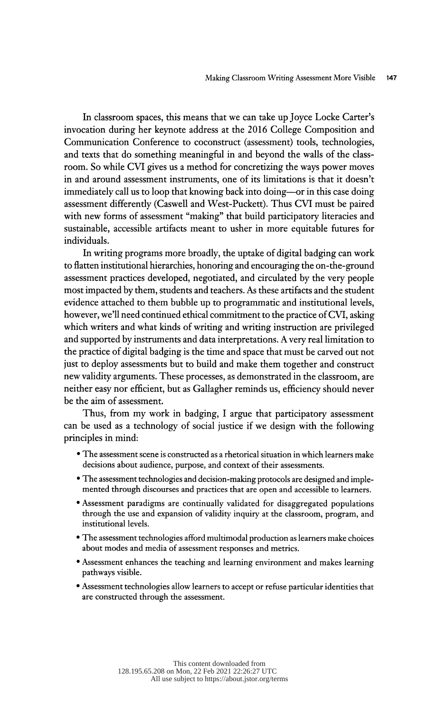In classroom spaces, this means that we can take up Joyce Locke Carter's invocation during her keynote address at the 2016 College Composition and Communication Conference to coconstruct (assessment) tools, technologies, and texts that do something meaningful in and beyond the walls of the class room. So while CVI gives us a method for concretizing the ways power moves in and around assessment instruments, one of its limitations is that it doesn't immediately call us to loop that knowing back into doing—or in this case doing assessment differently (Caswell and West-Puckett). Thus CVI must be paired with new forms of assessment "making" that build participatory literacies and sustainable, accessible artifacts meant to usher in more equitable futures for individuals.

 In writing programs more broadly, the uptake of digital badging can work to flatten institutional hierarchies, honoring and encouraging the on-the-ground assessment practices developed, negotiated, and circulated by the very people most impacted by them, students and teachers. As these artifacts and the student evidence attached to them bubble up to programmatic and institutional levels, however, we'll need continued ethical commitment to the practice of CVI, asking which writers and what kinds of writing and writing instruction are privileged and supported by instruments and data interpretations. Avery real limitation to the practice of digital badging is the time and space that must be carved out not just to deploy assessments but to build and make them together and construct new validity arguments. These processes, as demonstrated in the classroom, are neither easy nor efficient, but as Gallagher reminds us, efficiency should never be the aim of assessment.

 Thus, from my work in badging, I argue that participatory assessment can be used as a technology of social justice if we design with the following principles in mind:

- The assessment scene is constructed as a rhetorical situation in which learners make decisions about audience, purpose, and context of their assessments.
- The assessment technologies and decision-making protocols are designed and imple mented through discourses and practices that are open and accessible to learners.
- Assessment paradigms are continually validated for disaggregated populations through the use and expansion of validity inquiry at the classroom, program, and institutional levels.
- The assessment technologies afford multimodal production as learners make choices about modes and media of assessment responses and metrics.
- Assessment enhances the teaching and learning environment and makes learning pathways visible.
- Assessment technologies allow learners to accept or refuse particular identities that are constructed through the assessment.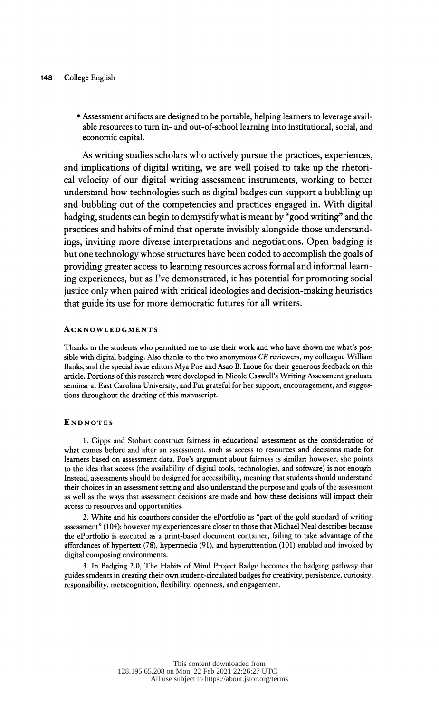• Assessment artifacts are designed to be portable, helping learners to leverage avail able resources to turn in- and out-of-school learning into institutional, social, and economic capital.

 As writing studies scholars who actively pursue the practices, experiences, and implications of digital writing, we are well poised to take up the rhetori cal velocity of our digital writing assessment instruments, working to better understand how technologies such as digital badges can support a bubbling up and bubbling out of the competencies and practices engaged in. With digital badging, students can begin to demystify what is meant by "good writing" and the practices and habits of mind that operate invisibly alongside those understand ings, inviting more diverse interpretations and negotiations. Open badging is but one technology whose structures have been coded to accomplish the goals of providing greater access to learning resources across formal and informal learn ing experiences, but as I've demonstrated, it has potential for promoting social justice only when paired with critical ideologies and decision-making heuristics that guide its use for more democratic futures for all writers.

#### **ACKNOWLEDGMENTS**

 Thanks to the students who permitted me to use their work and who have shown me what's pos sible with digital badging. Also thanks to the two anonymous CE reviewers, my colleague William Banks, and the special issue editors Mya Poe and Asao B. Inoue for their generous feedback on this article. Portions of this research were developed in Nicole Caswell's Writing Assessment graduate seminar at East Carolina University, and I'm grateful for her support, encouragement, and sugges tions throughout the drafting of this manuscript.

#### **ENDNOTES**

 1. Gipps and Stobart construct fairness in educational assessment as the consideration of what comes before and after an assessment, such as access to resources and decisions made for learners based on assessment data. Poe's argument about fairness is similar; however, she points to the idea that access (the availability of digital tools, technologies, and software) is not enough. Instead, assessments should be designed for accessibility, meaning that students should understand their choices in an assessment setting and also understand the purpose and goals of the assessment as well as the ways that assessment decisions are made and how these decisions will impact their access to resources and opportunities.

 2. White and his coauthors consider the ePortfolio as "part of the gold standard of writing assessment" (104); however my experiences are closer to those that Michael Neal describes because the ePortfolio is executed as a print-based document container, failing to take advantage of the affordances of hypertext (78), hypermedia (91), and hyperattention (101) enabled and invoked by digital composing environments.

 3. In Badging 2.0, The Habits of Mind Project Badge becomes the badging pathway that guides students in creating their own student-circulated badges for creativity, persistence, curiosity, responsibility, metacognition, flexibility, openness, and engagement.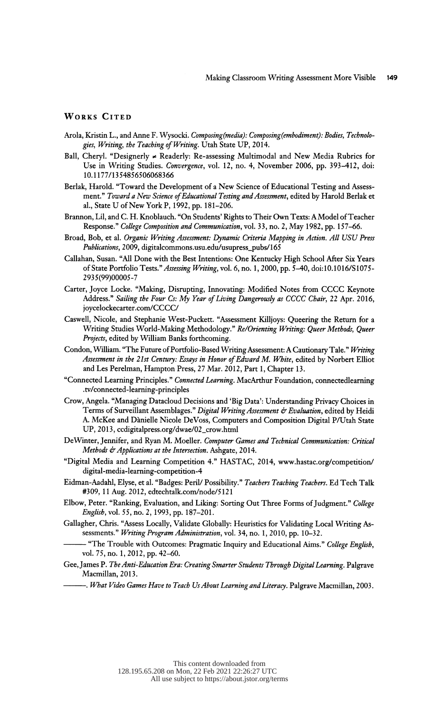#### WORKS CITED

- Arola, Kristin L., and Anne F. Wysocki. Composing(media): Composing(embodiment): Bodies, Technologies, Writing, the Teaching of Writing. Utah State UP, 2014.
- Ball, Cheryl. "Designerly \* Readerly: Re-assessing Multimodal and New Media Rubrics for Use in Writing Studies. Convergence, vol. 12, no. 4, November 2006, pp. 393-412, doi: 10.1177/1354856506068366
- Berlak, Harold. "Toward the Development of a New Science of Educational Testing and Assess ment." Toward a New Science of Educational Testing and Assessment, edited by Harold Berlak et al., State U of New York P, 1992, pp. 181-206.
- Brannon, Lil, and C. H. Knoblauch. "On Students' Rights to Their Own Texts: A Model of Teacher Response." College Composition and Communication, vol. 33, no. 2, May 1982, pp. 157-66.
- Broad, Bob, et al. Organic Writing Assessment: Dynamic Criteria Mapping in Action. All USU Press Publications, 2009, digitalcommons.usu.edu/usupress\_pubs/165
- Callahan, Susan. "All Done with the Best Intentions: One Kentucky High School After Six Years of State Portfolio Tests." Assessing Writing, vol. 6, no. 1, 2000, pp. 5-40, doi:10.1016/S1075-2935(99)00005-7
- Carter, Joyce Locke. "Making, Disrupting, Innovating: Modified Notes from CCCC Keynote Address." Sailing the Four Cs: My Year of Living Dangerously as CCCC Chair, 22 Apr. 2016, joycelockecarter.com/CCCC/
- Caswell, Nicole, and Stephanie West-Puckett. "Assessment Killjoys: Queering the Return for a Writing Studies World-Making Methodology." Re/Orienting Writing: Queer Methods, Queer Projects, edited by William Banks forthcoming.
- Condon, William. "The Future of Portfolio-Based Writing Assessment: A Cautionary Tale." Writing Assessment in the 21st Century: Essays in Honor of Edward M. White, edited by Norbert Elliot and Les Perelman, Hampton Press, 27 Mar. 2012, Part 1, Chapter 13.
- "Connected Learning Principles." Connected Learning. MacArthur Foundation, connectedlearning .tv/connected-learning-principles
- Crow, Angela. "Managing Datacloud Decisions and 'Big Data': Understanding Privacy Choices in Terms of Surveillant Assemblages." Digital Writing Assessment & Evaluation, edited by Heidi A. McKee and Danielle Nicole DeVoss, Computers and Composition Digital P/Utah State UP, 2013, ccdigitalpress.org/dwae/02\_crow.html
- De Winter, Jennifer, and Ryan M. Moeller. Computer Games and Technical Communication: Critical Methods & Applications at the Intersection. Ashgate, 2014.
- "Digital Media and Learning Competition 4." HASTAC, 2014, www.hastac.org/competition/ digital-media-learning-competition-4
- Eidman-Aadahl, Elyse, et al. "Badges: Peril/ Possibility." Teachers Teaching Teachers. Ed Tech Talk #309, 11 Aug. 2012, edtechtalk.com/node/5121
- Elbow, Peter. "Ranking, Evaluation, and Liking: Sorting Out Three Forms of Judgment." College English, vol. 55, no. 2, 1993, pp. 187-201.
- Gallagher, Chris. "Assess Locally, Validate Globally: Heuristics for Validating Local Writing As sessments." Writing Program Administration, vol. 34, no. 1, 2010, pp. 10-32.
	- "The Trouble with Outcomes: Pragmatic Inquiry and Educational Aims." College English, vol. 75, no. 1,2012, pp. 42-60.
- Gee, James P. The Anti-Education Era: Creating Smarter Students Through Digital Learning. Palgrave Macmillan, 2013.
	- -. What Video Games Have to Teach Us About Learning and Literacy. Palgrave Macmillan, 2003.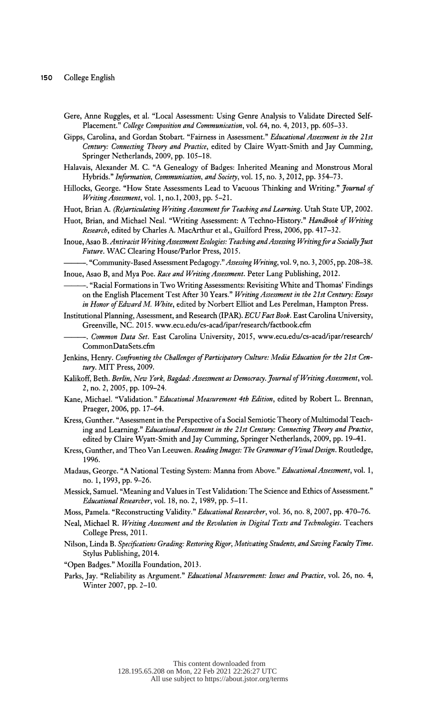- Gere, Anne Ruggles, et al. "Local Assessment: Using Genre Analysis to Validate Directed Self- Placement." College Composition and Communication, vol. 64, no. 4, 2013, pp. 605-33.
- Gipps, Carolina, and Gordan Stobart. "Fairness in Assessment." Educational Assessment in the 21st Century: Connecting Theory and Practice, edited by Claire Wyatt-Smith and Jay Cumming, Springer Netherlands, 2009, pp. 105-18.
- Halavais, Alexander M. C. "A Genealogy of Badges: Inherited Meaning and Monstrous Moral Hybrids." Information, Communication, and Society, vol. 15, no. 3, 2012, pp. 354-73.
- Hillocks, George. "How State Assessments Lead to Vacuous Thinking and Writing." Journal of Writing Assessment, vol. 1, no.l, 2003, pp. 5-21.
- Huot, Brian A. (Re) articulating Writing Assessment for Teaching and Learning. Utah State UP, 2002.
- Huot, Brian, and Michael Neal. "Writing Assessment: A Techno-History." Handbook of Writing Research, edited by Charles A. MacArthur et al., Guilford Press, 2006, pp. 417-32.
- Inoue, Asao B .Antiracist Writing Assessment Ecologies: Teaching and Assessing Writing for a Socially Just Future. WAC Clearing House/Parlor Press, 2015.
- -. "Community-Based Assessment Pedagogy." Assessing Writing, vol. 9, no. 3, 2005, pp. 208-38.
- Inoue, Asao B, and Mya Poe. Race and Writing Assessment. Peter Lang Publishing, 2012.<br>
"Racial Formations in Two Writing Assessments: Revisiting White and Thomas' Findings on the English Placement Test After 30 Years." Writing Assessment in the 21st Century: Essays in Honor of Edward M. White, edited by Norbert Elliot and Les Perelman, Hampton Press.
- Institutional Planning, Assessment, and Research (IPAR). ECU Fact Book. East Carolina University, Greenville, NC. 2015. www.ecu.edu/cs-acad/ipar/research/factbook.cfm
	- -. Common Data Set. East Carolina University, 2015, www.ecu.edu/cs-acad/ipar/research/ CommonDataSets.cfm
- Jenkins, Henry. Confronting the Challenges of Participatory Culture: Media Education for the 21st Cen tury. MIT Press, 2009.
- Kalikoff, Beth. Berlin, New York, Bagdad: Assessment as Democracy. Journal of Writing Assessment, vol. 2, no. 2, 2005, pp. 109-24.
- Kane, Michael. "Validation." Educational Measurement 4th Edition, edited by Robert L. Brennan, Praeger, 2006, pp. 17-64.
- Kress, Gunther. "Assessment in the Perspective of a Social Semiotic Theory of Multimodal Teach ing and Learning." Educational Assessment in the 21st Century: Connecting Theory and Practice, edited by Claire Wyatt-Smith and Jay Cumming, Springer Netherlands, 2009, pp. 19-41.
- Kress, Gunther, and Theo Van Leeuwen. Reading Images: The Grammar of Visual Design. Roudedge, 1996.
- Madaus, George. "A National Testing System: Manna from Above." Educational Assessment, vol. 1, no. 1, 1993, pp. 9-26.
- Messick, Samuel. "Meaning and Values in Test Validation: The Science and Ethics of Assessment." Educational Researcher, vol. 18, no. 2, 1989, pp. 5-11.
- Moss, Pamela. "Reconstructing Validity." Educational Researcher, vol. 36, no. 8, 2007, pp. 470-76.
- Neal, Michael R. Writing Assessment and the Revolution in Digital Texts and Technologies. Teachers College Press, 2011.
- Nilson, Linda B. Specifications Grading: Restoring Rigor, Motivating Students, and Saving Faculty Time. Stylus Publishing, 2014.
- "Open Badges." Mozilla Foundation, 2013.
- Parks, Jay. "Reliability as Argument." Educational Measurement: Issues and Practice, vol. 26, no. 4, Winter 2007, pp. 2-10.